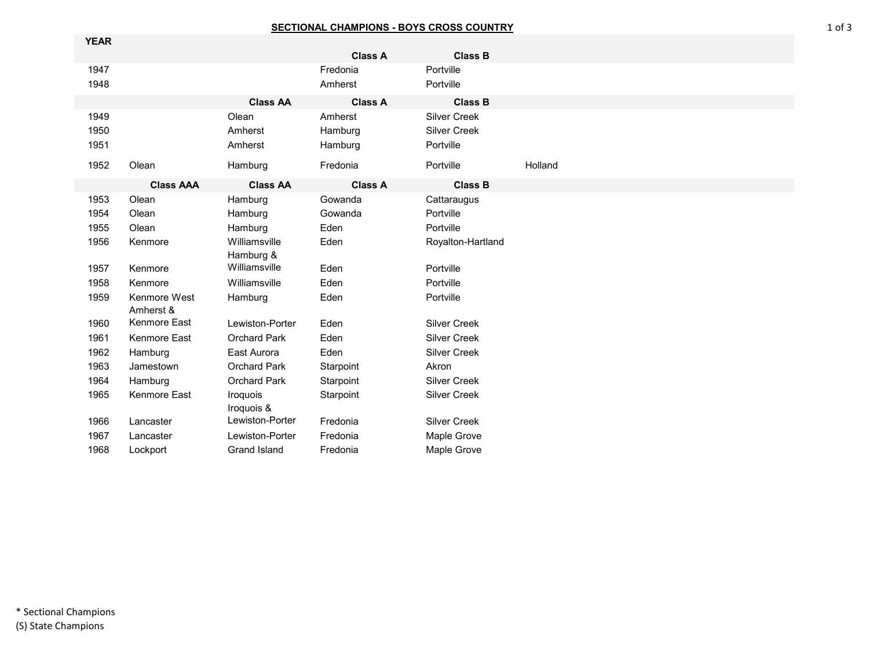## **SECTIONAL CHAMPIONS - BOYS CROSS COUNTRY**

| <b>YEAR</b> |                           |                        |                |                     |         |  |
|-------------|---------------------------|------------------------|----------------|---------------------|---------|--|
|             |                           |                        | <b>Class A</b> | <b>Class B</b>      |         |  |
| 1947        |                           |                        | Fredonia       | Portville           |         |  |
| 1948        |                           |                        | Amherst        | Portville           |         |  |
|             |                           | <b>Class AA</b>        | <b>Class A</b> | <b>Class B</b>      |         |  |
| 1949        |                           | Olean                  | Amherst        | <b>Silver Creek</b> |         |  |
| 1950        |                           | Amherst                | Hamburg        | <b>Silver Creek</b> |         |  |
| 1951        |                           | Amherst                | Hamburg        | Portville           |         |  |
| 1952        | Olean                     | Hamburg                | Fredonia       | Portville           | Holland |  |
|             | <b>Class AAA</b>          | <b>Class AA</b>        | <b>Class A</b> | <b>Class B</b>      |         |  |
| 1953        | Olean                     | Hamburg                | Gowanda        | Cattaraugus         |         |  |
| 1954        | Olean                     | Hamburg                | Gowanda        | Portville           |         |  |
| 1955        | Olean                     | Hamburg                | Eden           | Portville           |         |  |
| 1956        | Kenmore                   | Williamsville          | Eden           | Royalton-Hartland   |         |  |
|             |                           | Hamburg &              |                |                     |         |  |
| 1957        | Kenmore                   | Williamsville          | Eden           | Portville           |         |  |
| 1958        | Kenmore                   | Williamsville          | Eden           | Portville           |         |  |
| 1959        | Kenmore West<br>Amherst & | Hamburg                | Eden           | Portville           |         |  |
| 1960        | Kenmore East              | Lewiston-Porter        | Eden           | <b>Silver Creek</b> |         |  |
| 1961        | Kenmore East              | <b>Orchard Park</b>    | Eden           | <b>Silver Creek</b> |         |  |
| 1962        | Hamburg                   | East Aurora            | Eden           | <b>Silver Creek</b> |         |  |
| 1963        | Jamestown                 | Orchard Park           | Starpoint      | Akron               |         |  |
| 1964        | Hamburg                   | <b>Orchard Park</b>    | Starpoint      | <b>Silver Creek</b> |         |  |
| 1965        | Kenmore East              | Iroquois<br>Iroquois & | Starpoint      | <b>Silver Creek</b> |         |  |
| 1966        | Lancaster                 | Lewiston-Porter        | Fredonia       | <b>Silver Creek</b> |         |  |
| 1967        | Lancaster                 | Lewiston-Porter        | Fredonia       | Maple Grove         |         |  |
| 1968        | Lockport                  | <b>Grand Island</b>    | Fredonia       | <b>Maple Grove</b>  |         |  |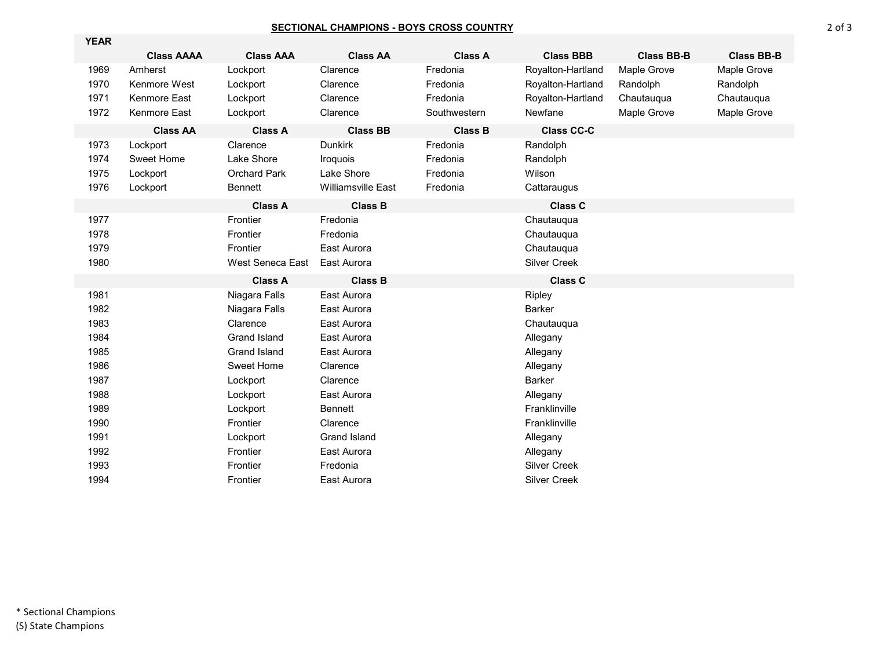## **SECTIONAL CHAMPIONS - BOYS CROSS COUNTRY**

| <b>YEAR</b> |                   |                     |                           |                |                     |                   |                   |
|-------------|-------------------|---------------------|---------------------------|----------------|---------------------|-------------------|-------------------|
|             | <b>Class AAAA</b> | <b>Class AAA</b>    | <b>Class AA</b>           | <b>Class A</b> | <b>Class BBB</b>    | <b>Class BB-B</b> | <b>Class BB-B</b> |
| 1969        | Amherst           | Lockport            | Clarence                  | Fredonia       | Royalton-Hartland   | Maple Grove       | Maple Grove       |
| 1970        | Kenmore West      | Lockport            | Clarence                  | Fredonia       | Royalton-Hartland   | Randolph          | Randolph          |
| 1971        | Kenmore East      | Lockport            | Clarence                  | Fredonia       | Royalton-Hartland   | Chautauqua        | Chautauqua        |
| 1972        | Kenmore East      | Lockport            | Clarence                  | Southwestern   | Newfane             | Maple Grove       | Maple Grove       |
|             | <b>Class AA</b>   | <b>Class A</b>      | <b>Class BB</b>           | <b>Class B</b> | <b>Class CC-C</b>   |                   |                   |
| 1973        | Lockport          | Clarence            | <b>Dunkirk</b>            | Fredonia       | Randolph            |                   |                   |
| 1974        | Sweet Home        | Lake Shore          | Iroquois                  | Fredonia       | Randolph            |                   |                   |
| 1975        | Lockport          | <b>Orchard Park</b> | Lake Shore                | Fredonia       | Wilson              |                   |                   |
| 1976        | Lockport          | <b>Bennett</b>      | <b>Williamsville East</b> | Fredonia       | Cattaraugus         |                   |                   |
|             |                   | <b>Class A</b>      | <b>Class B</b>            |                | <b>Class C</b>      |                   |                   |
| 1977        |                   | Frontier            | Fredonia                  |                | Chautauqua          |                   |                   |
| 1978        |                   | Frontier            | Fredonia                  |                | Chautauqua          |                   |                   |
| 1979        |                   | Frontier            | East Aurora               |                | Chautauqua          |                   |                   |
| 1980        |                   | West Seneca East    | East Aurora               |                | <b>Silver Creek</b> |                   |                   |
|             |                   | <b>Class A</b>      | <b>Class B</b>            |                | <b>Class C</b>      |                   |                   |
| 1981        |                   | Niagara Falls       | East Aurora               |                | Ripley              |                   |                   |
| 1982        |                   | Niagara Falls       | East Aurora               |                | <b>Barker</b>       |                   |                   |
| 1983        |                   | Clarence            | East Aurora               |                | Chautauqua          |                   |                   |
| 1984        |                   | Grand Island        | East Aurora               |                | Allegany            |                   |                   |
| 1985        |                   | Grand Island        | East Aurora               |                | Allegany            |                   |                   |
| 1986        |                   | Sweet Home          | Clarence                  |                | Allegany            |                   |                   |
| 1987        |                   | Lockport            | Clarence                  |                | <b>Barker</b>       |                   |                   |
| 1988        |                   | Lockport            | East Aurora               |                | Allegany            |                   |                   |
| 1989        |                   | Lockport            | <b>Bennett</b>            |                | Franklinville       |                   |                   |
| 1990        |                   | Frontier            | Clarence                  |                | Franklinville       |                   |                   |
| 1991        |                   | Lockport            | <b>Grand Island</b>       |                | Allegany            |                   |                   |
| 1992        |                   | Frontier            | East Aurora               |                | Allegany            |                   |                   |
| 1993        |                   | Frontier            | Fredonia                  |                | <b>Silver Creek</b> |                   |                   |
| 1994        |                   | Frontier            | East Aurora               |                | <b>Silver Creek</b> |                   |                   |